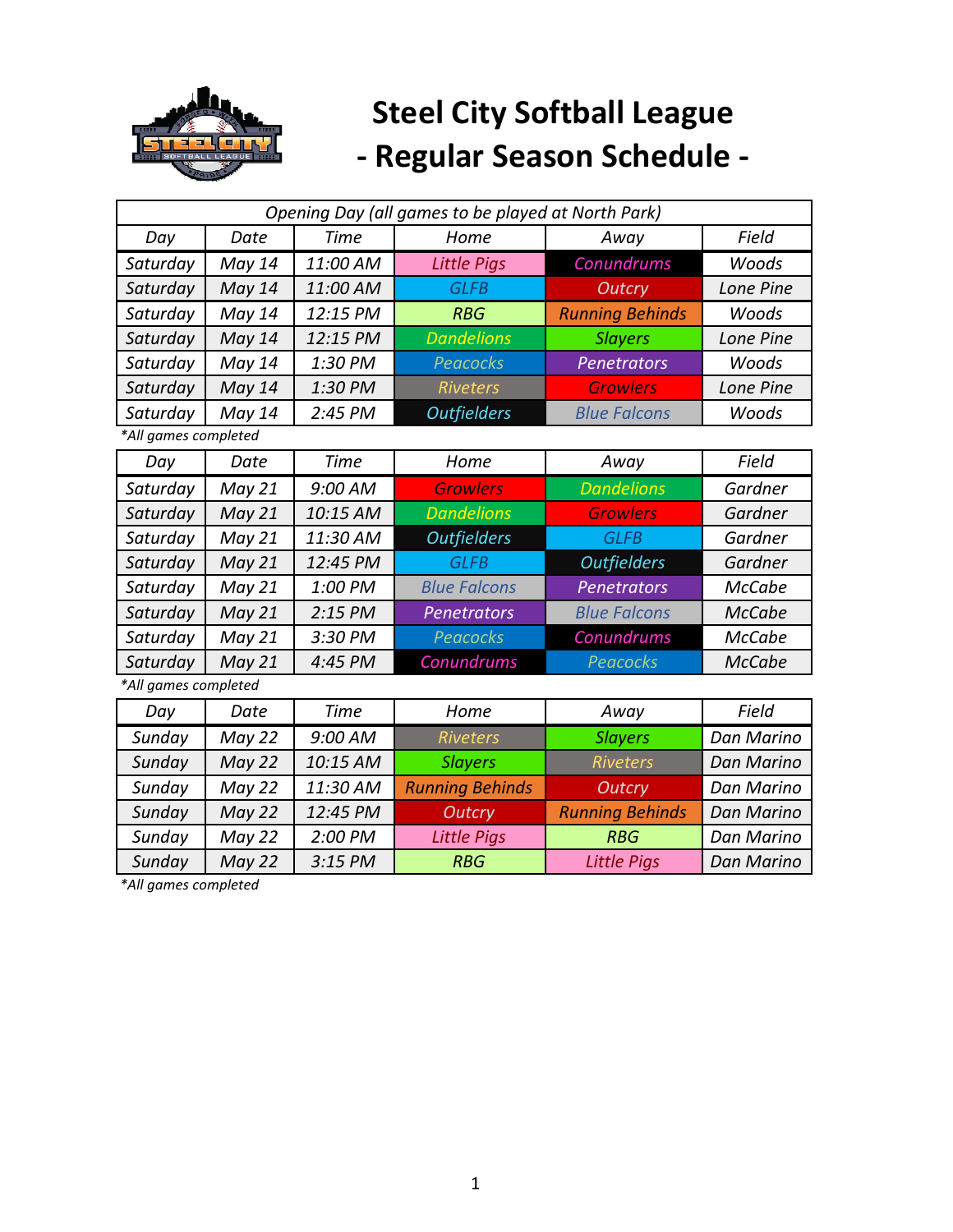

| Opening Day (all games to be played at North Park) |               |             |                        |                        |                   |  |
|----------------------------------------------------|---------------|-------------|------------------------|------------------------|-------------------|--|
| Day                                                | Date          | <b>Time</b> | Home                   | Away                   | Field             |  |
| Saturday                                           | May 14        | 11:00 AM    | <b>Little Pigs</b>     | Conundrums             | Woods             |  |
| Saturday                                           | May 14        | 11:00 AM    | <b>GLFB</b>            | <b>Outcry</b>          | Lone Pine         |  |
| Saturday                                           | May 14        | 12:15 PM    | <b>RBG</b>             | <b>Running Behinds</b> | Woods             |  |
| Saturday                                           | May 14        | 12:15 PM    | <b>Dandelions</b>      | <b>Slayers</b>         | Lone Pine         |  |
| Saturday                                           | May 14        | 1:30 PM     | <b>Peacocks</b>        | Penetrators            | Woods             |  |
| Saturday                                           | May 14        | 1:30 PM     | <b>Riveters</b>        | <b>Growlers</b>        | Lone Pine         |  |
| Saturday                                           | May 14        | 2:45 PM     | <b>Outfielders</b>     | <b>Blue Falcons</b>    | Woods             |  |
| *All games completed                               |               |             |                        |                        |                   |  |
| Day                                                | Date          | <b>Time</b> | Home                   | Away                   | Field             |  |
| Saturday                                           | May 21        | 9:00 AM     | <b>Growlers</b>        | <b>Dandelions</b>      | Gardner           |  |
| Saturday                                           | May 21        | 10:15 AM    | <b>Dandelions</b>      | <b>Growlers</b>        | Gardner           |  |
| Saturday                                           | <b>May 21</b> | 11:30 AM    | <b>Outfielders</b>     | <b>GLFB</b>            | Gardner           |  |
| Saturday                                           | May 21        | 12:45 PM    | <b>GLFB</b>            | <b>Outfielders</b>     | Gardner           |  |
| Saturday                                           | May 21        | 1:00 PM     | <b>Blue Falcons</b>    | <b>Penetrators</b>     | <b>McCabe</b>     |  |
| Saturday                                           | May 21        | 2:15 PM     | <b>Penetrators</b>     | <b>Blue Falcons</b>    | <b>McCabe</b>     |  |
| Saturday                                           | May 21        | 3:30 PM     | <b>Peacocks</b>        | Conundrums             | <b>McCabe</b>     |  |
| Saturday                                           | May 21        | 4:45 PM     | Conundrums             | <b>Peacocks</b>        | <b>McCabe</b>     |  |
| *All games completed                               |               |             |                        |                        |                   |  |
| Day                                                | Date          | <b>Time</b> | Home                   | Away                   | Field             |  |
| Sunday                                             | May 22        | 9:00 AM     | <b>Riveters</b>        | <b>Slayers</b>         | Dan Marino        |  |
| Sunday                                             | <b>May 22</b> | 10:15 AM    | <b>Slayers</b>         | <b>Riveters</b>        | <b>Dan Marino</b> |  |
| Sunday                                             | May 22        | 11:30 AM    | <b>Running Behinds</b> | <b>Outcry</b>          | Dan Marino        |  |
| Sunday                                             | May 22        | 12:45 PM    | <b>Outcry</b>          | <b>Running Behinds</b> | <b>Dan Marino</b> |  |
| Sunday                                             | May 22        | 2:00 PM     | <b>Little Pigs</b>     | <b>RBG</b>             | Dan Marino        |  |
| Sunday                                             | May 22        | 3:15 PM     | <b>RBG</b>             | <b>Little Pigs</b>     | <b>Dan Marino</b> |  |

*\*All games completed*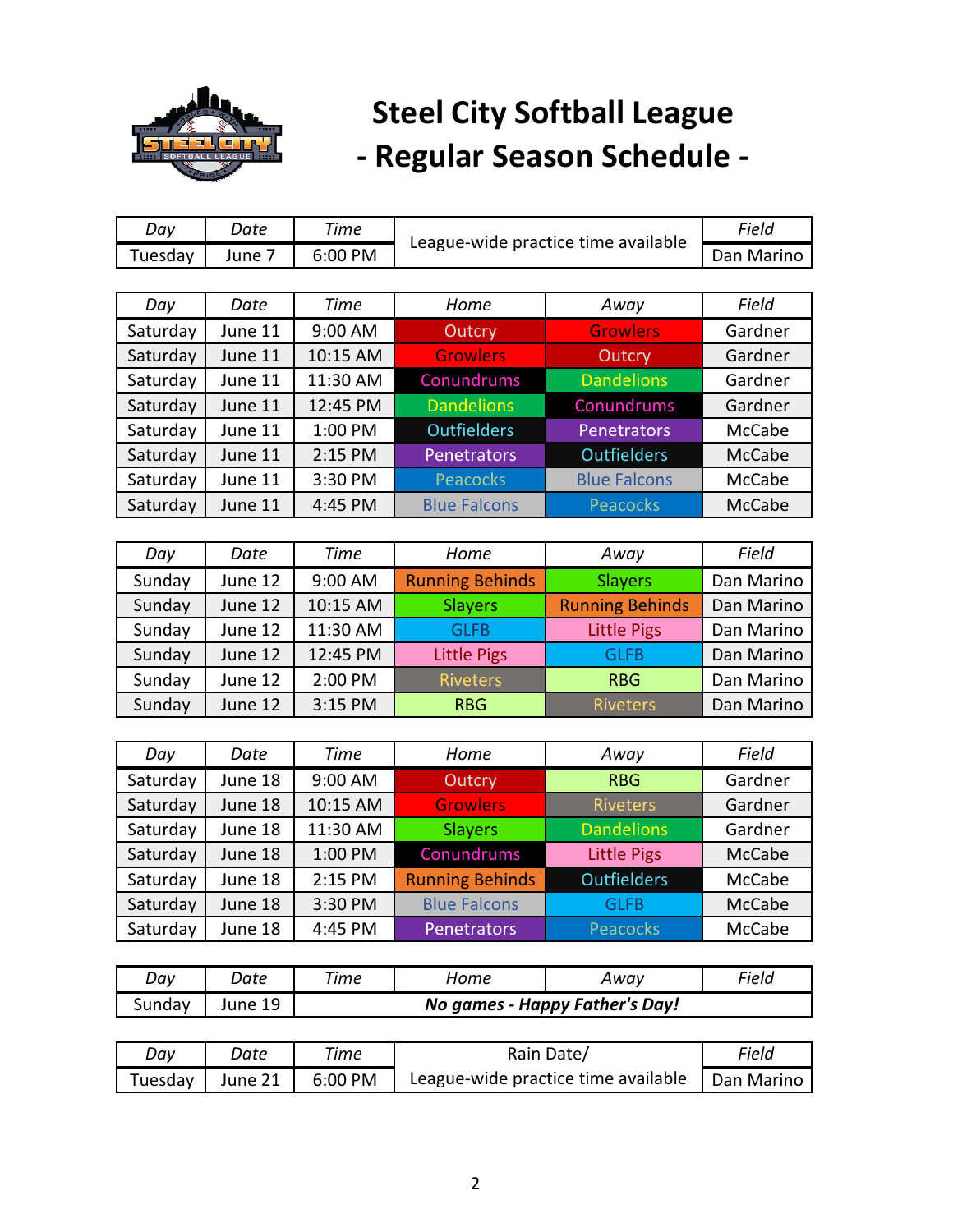

| Day      | Date    | <b>Time</b> |                        |                                     | Field         |
|----------|---------|-------------|------------------------|-------------------------------------|---------------|
| Tuesday  | June 7  | 6:00 PM     |                        | League-wide practice time available |               |
|          |         |             |                        |                                     |               |
| Day      | Date    | <b>Time</b> | Home                   | Away                                | Field         |
| Saturday | June 11 | 9:00 AM     | Outcry                 | <b>Growlers</b>                     | Gardner       |
| Saturday | June 11 | 10:15 AM    | <b>Growlers</b>        | Outcry                              | Gardner       |
| Saturday | June 11 | 11:30 AM    | Conundrums             | <b>Dandelions</b>                   | Gardner       |
| Saturday | June 11 | 12:45 PM    | <b>Dandelions</b>      | Conundrums                          | Gardner       |
| Saturday | June 11 | 1:00 PM     | <b>Outfielders</b>     | Penetrators                         | McCabe        |
| Saturday | June 11 | 2:15 PM     | Penetrators            | <b>Outfielders</b>                  | <b>McCabe</b> |
| Saturday | June 11 | 3:30 PM     | <b>Peacocks</b>        | <b>Blue Falcons</b>                 | <b>McCabe</b> |
| Saturday | June 11 | 4:45 PM     | <b>Blue Falcons</b>    | <b>Peacocks</b>                     | <b>McCabe</b> |
|          |         |             |                        |                                     |               |
| Day      | Date    | <b>Time</b> | Home                   | Away                                | Field         |
| Sunday   | June 12 | 9:00 AM     | <b>Running Behinds</b> | <b>Slayers</b>                      | Dan Marino    |
| Sunday   | June 12 | 10:15 AM    | <b>Slayers</b>         | <b>Running Behinds</b>              | Dan Marino    |
| Sunday   | June 12 | 11:30 AM    | <b>GLFB</b>            | <b>Little Pigs</b>                  | Dan Marino    |
| Sunday   | June 12 | 12:45 PM    | <b>Little Pigs</b>     | <b>GLFB</b>                         | Dan Marino    |
| Sunday   | June 12 | 2:00 PM     | <b>Riveters</b>        | <b>RBG</b>                          | Dan Marino    |
| Sunday   | June 12 | 3:15 PM     | <b>RBG</b>             | <b>Riveters</b>                     | Dan Marino    |
|          |         |             |                        |                                     |               |
| Day      | Date    | <b>Time</b> | Home                   | Away                                | Field         |
| Saturday | June 18 | 9:00 AM     | Outcry                 | <b>RBG</b>                          | Gardner       |
| Saturday | June 18 | 10:15 AM    | <b>Growlers</b>        | <b>Riveters</b>                     | Gardner       |
| Saturday | June 18 | 11:30 AM    | <b>Slayers</b>         | <b>Dandelions</b>                   | Gardner       |
| Saturday | June 18 | 1:00 PM     | Conundrums             | <b>Little Pigs</b>                  | <b>McCabe</b> |
| Saturday | June 18 | 2:15 PM     | <b>Running Behinds</b> | <b>Outfielders</b>                  | <b>McCabe</b> |
| Saturday | June 18 | 3:30 PM     | <b>Blue Falcons</b>    | <b>GLFB</b>                         | <b>McCabe</b> |
| Saturday | June 18 | 4:45 PM     | Penetrators            | Peacocks                            | McCabe        |
|          |         |             |                        |                                     |               |
| Day      | Date    | <b>Time</b> | Home                   | Away                                | Field         |
| Sunday   | June 19 |             |                        | No games - Happy Father's Day!      |               |

| Day | Date | Time | Rain Date/                                                                     | Field |
|-----|------|------|--------------------------------------------------------------------------------|-------|
|     |      |      | Tuesday   June 21   6:00 PM   League-wide practice time available   Dan Marino |       |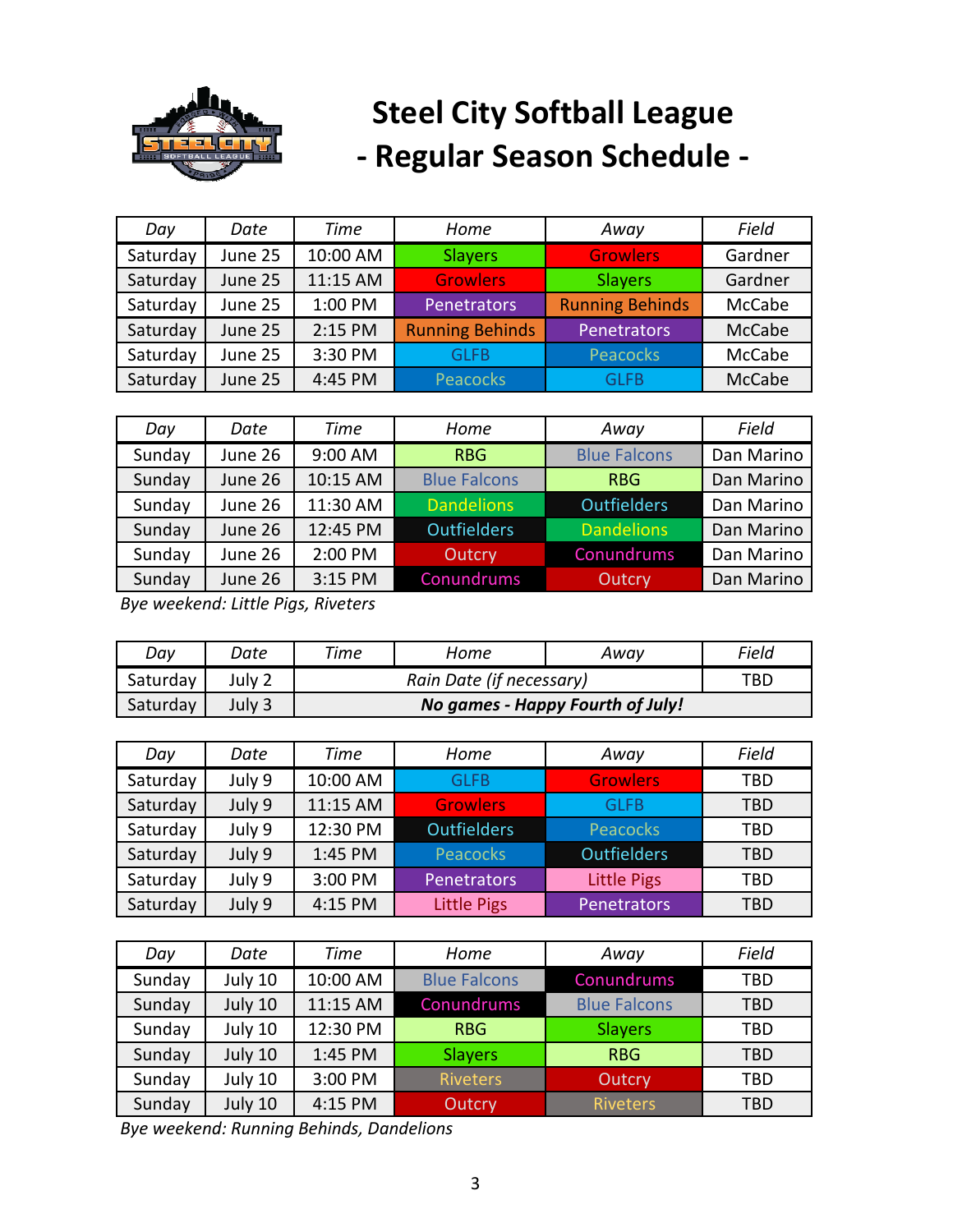

| Day      | Date    | Time     | Home                   | Away                   | Field   |
|----------|---------|----------|------------------------|------------------------|---------|
| Saturday | June 25 | 10:00 AM | <b>Slayers</b>         | <b>Growlers</b>        | Gardner |
| Saturday | June 25 | 11:15 AM | <b>Growlers</b>        | <b>Slayers</b>         | Gardner |
| Saturday | June 25 | 1:00 PM  | Penetrators            | <b>Running Behinds</b> | McCabe  |
| Saturday | June 25 | 2:15 PM  | <b>Running Behinds</b> | Penetrators            | McCabe  |
| Saturday | June 25 | 3:30 PM  | <b>GLFB</b>            | <b>Peacocks</b>        | McCabe  |
| Saturday | June 25 | 4:45 PM  | Peacocks               | GLFB                   | McCabe  |

| Day    | Date    | <b>Time</b> | Home                | Away                | Field      |
|--------|---------|-------------|---------------------|---------------------|------------|
| Sunday | June 26 | 9:00 AM     | <b>RBG</b>          | <b>Blue Falcons</b> | Dan Marino |
| Sunday | June 26 | 10:15 AM    | <b>Blue Falcons</b> | <b>RBG</b>          | Dan Marino |
| Sunday | June 26 | 11:30 AM    | <b>Dandelions</b>   | <b>Outfielders</b>  | Dan Marino |
| Sunday | June 26 | 12:45 PM    | <b>Outfielders</b>  | <b>Dandelions</b>   | Dan Marino |
| Sunday | June 26 | 2:00 PM     | <b>Outcry</b>       | Conundrums          | Dan Marino |
| Sunday | June 26 | 3:15 PM     | Conundrums          | Outcry              | Dan Marino |

*Bye weekend: Little Pigs, Riveters*

| Day      | Date   | Time | Home                             | Away | Field |  |  |
|----------|--------|------|----------------------------------|------|-------|--|--|
| Saturday | July 2 |      | Rain Date (if necessary)         |      |       |  |  |
| Saturday | July 3 |      | No games - Happy Fourth of July! |      |       |  |  |

| Day      | Date   | Time     | Home               | Away               | Field      |
|----------|--------|----------|--------------------|--------------------|------------|
| Saturday | July 9 | 10:00 AM | <b>GLFB</b>        | <b>Growlers</b>    | TBD        |
| Saturday | July 9 | 11:15 AM | <b>Growlers</b>    | GLFB               | TBD        |
| Saturday | July 9 | 12:30 PM | <b>Outfielders</b> | Peacocks           | TBD        |
| Saturday | July 9 | 1:45 PM  | Peacocks           | <b>Outfielders</b> | <b>TBD</b> |
| Saturday | July 9 | 3:00 PM  | <b>Penetrators</b> | <b>Little Pigs</b> | TBD        |
| Saturday | July 9 | 4:15 PM  | <b>Little Pigs</b> | <b>Penetrators</b> | <b>TBD</b> |

| Day    | Date    | <b>Time</b> | Home                | Away                | Field      |
|--------|---------|-------------|---------------------|---------------------|------------|
| Sunday | July 10 | 10:00 AM    | <b>Blue Falcons</b> | Conundrums          | <b>TBD</b> |
| Sunday | July 10 | 11:15 AM    | Conundrums          | <b>Blue Falcons</b> | TBD        |
| Sunday | July 10 | 12:30 PM    | <b>RBG</b>          | <b>Slayers</b>      | TBD        |
| Sunday | July 10 | 1:45 PM     | <b>Slayers</b>      | <b>RBG</b>          | TBD        |
| Sunday | July 10 | 3:00 PM     | <b>Riveters</b>     | Outcry              | TBD        |
| Sunday | July 10 | 4:15 PM     | Outcry              | <b>Riveters</b>     | TBD        |

*Bye weekend: Running Behinds, Dandelions*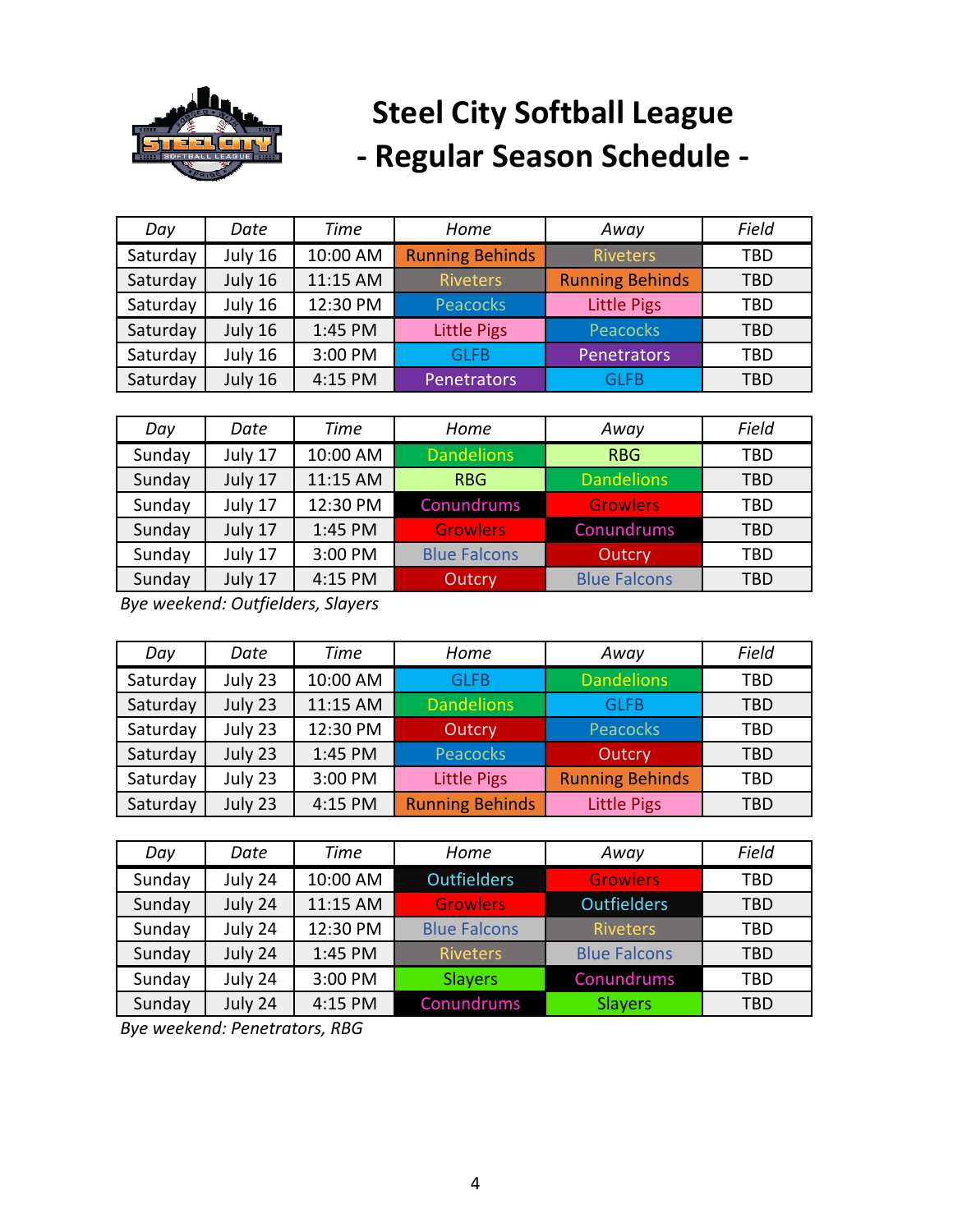

| Day      | Date    | <b>Time</b> | Home                   | Away                   | Field      |
|----------|---------|-------------|------------------------|------------------------|------------|
| Saturday | July 16 | 10:00 AM    | <b>Running Behinds</b> | <b>Riveters</b>        | TBD        |
| Saturday | July 16 | 11:15 AM    | <b>Riveters</b>        | <b>Running Behinds</b> | <b>TBD</b> |
| Saturday | July 16 | 12:30 PM    | <b>Peacocks</b>        | <b>Little Pigs</b>     | TBD        |
| Saturday | July 16 | 1:45 PM     | <b>Little Pigs</b>     | <b>Peacocks</b>        | <b>TBD</b> |
| Saturday | July 16 | 3:00 PM     | GLFB                   | Penetrators            | TBD        |
| Saturday | July 16 | 4:15 PM     | Penetrators            | GLFB                   | <b>TBD</b> |

| Day    | Date    | Time     | Home                | Away                | Field      |
|--------|---------|----------|---------------------|---------------------|------------|
| Sunday | July 17 | 10:00 AM | <b>Dandelions</b>   | <b>RBG</b>          | TBD        |
| Sunday | July 17 | 11:15 AM | <b>RBG</b>          | <b>Dandelions</b>   | TBD        |
| Sunday | July 17 | 12:30 PM | Conundrums          | <b>Growlers</b>     | TBD        |
| Sunday | July 17 | 1:45 PM  | <b>Growlers</b>     | Conundrums          | <b>TBD</b> |
| Sunday | July 17 | 3:00 PM  | <b>Blue Falcons</b> | Outcry              | TBD        |
| Sunday | July 17 | 4:15 PM  | Outcry              | <b>Blue Falcons</b> | TBD        |

*Bye weekend: Outfielders, Slayers*

| Day      | Date    | <b>Time</b> | Home                   | Away                   | Field      |
|----------|---------|-------------|------------------------|------------------------|------------|
| Saturday | July 23 | 10:00 AM    | <b>GLFB</b>            | <b>Dandelions</b>      | TBD        |
| Saturday | July 23 | 11:15 AM    | <b>Dandelions</b>      | GLFB                   | <b>TBD</b> |
| Saturday | July 23 | 12:30 PM    | Outcry                 | Peacocks               | TBD        |
| Saturday | July 23 | 1:45 PM     | Peacocks               | Outcry                 | TBD        |
| Saturday | July 23 | 3:00 PM     | <b>Little Pigs</b>     | <b>Running Behinds</b> | TBD        |
| Saturday | July 23 | 4:15 PM     | <b>Running Behinds</b> | <b>Little Pigs</b>     | TBD        |

| Day    | Date    | <b>Time</b> | Home                | Away                | Field      |
|--------|---------|-------------|---------------------|---------------------|------------|
| Sunday | July 24 | 10:00 AM    | <b>Outfielders</b>  | <b>Growlers</b>     | TBD        |
| Sunday | July 24 | 11:15 AM    | <b>Growlers</b>     | <b>Outfielders</b>  | <b>TBD</b> |
| Sunday | July 24 | 12:30 PM    | <b>Blue Falcons</b> | <b>Riveters</b>     | TBD        |
| Sunday | July 24 | 1:45 PM     | <b>Riveters</b>     | <b>Blue Falcons</b> | TBD        |
| Sunday | July 24 | 3:00 PM     | <b>Slayers</b>      | Conundrums          | TBD        |
| Sunday | July 24 | 4:15 PM     | Conundrums          | <b>Slayers</b>      | TBD        |

*Bye weekend: Penetrators, RBG*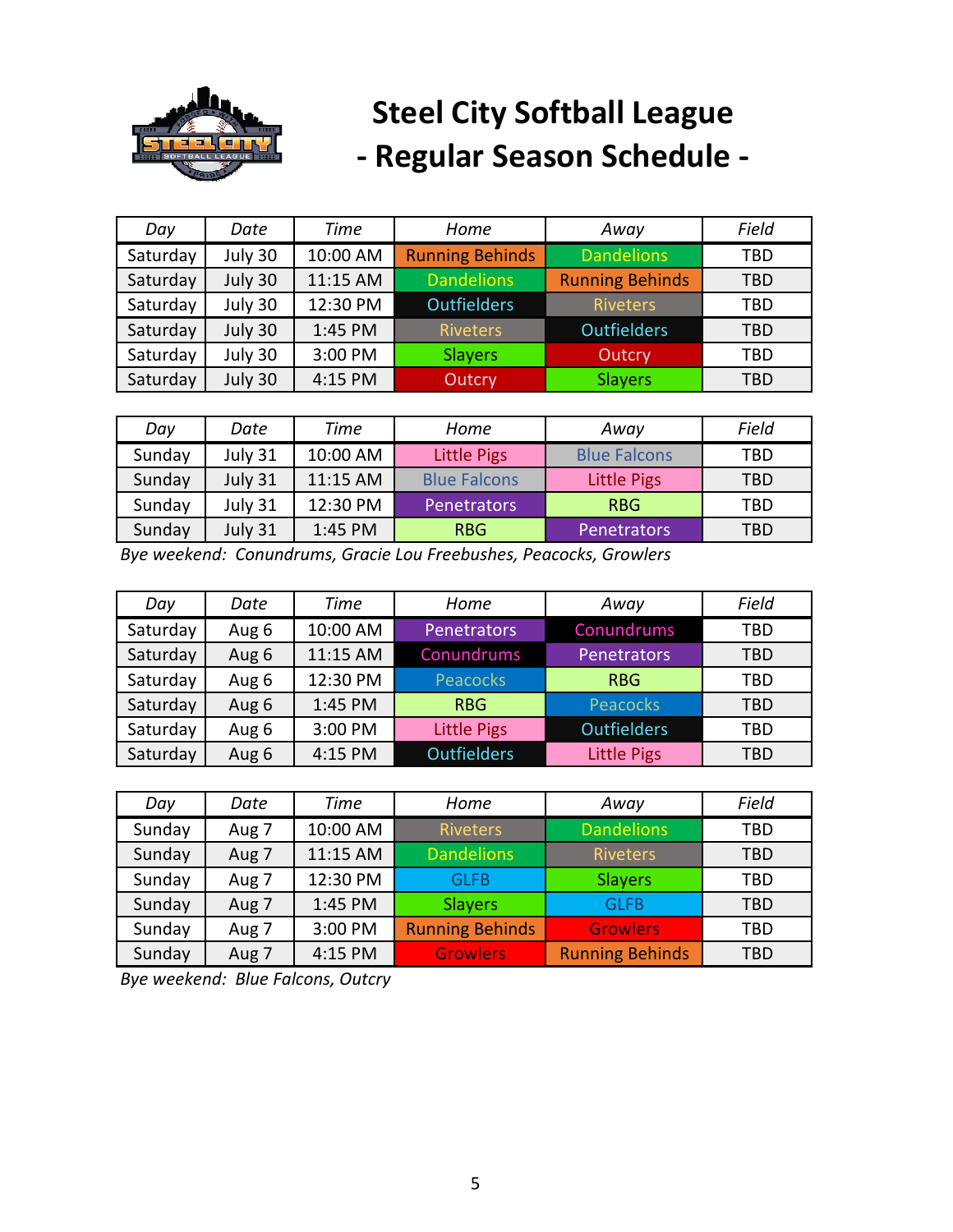

| Day      | Date    | Time     | Home                   | Away                   | Field      |
|----------|---------|----------|------------------------|------------------------|------------|
| Saturday | July 30 | 10:00 AM | <b>Running Behinds</b> | <b>Dandelions</b>      | TBD        |
| Saturday | July 30 | 11:15 AM | <b>Dandelions</b>      | <b>Running Behinds</b> | <b>TBD</b> |
| Saturday | July 30 | 12:30 PM | <b>Outfielders</b>     | <b>Riveters</b>        | TBD        |
| Saturday | July 30 | 1:45 PM  | <b>Riveters</b>        | <b>Outfielders</b>     | TBD        |
| Saturday | July 30 | 3:00 PM  | <b>Slayers</b>         | Outcry                 | TBD        |
| Saturday | July 30 | 4:15 PM  | Outcry                 | <b>Slayers</b>         | TBD        |

| Day    | Date    | Time     | Home                | Away                | Field      |
|--------|---------|----------|---------------------|---------------------|------------|
| Sunday | July 31 | 10:00 AM | <b>Little Pigs</b>  | <b>Blue Falcons</b> | TBD        |
| Sunday | July 31 | 11:15 AM | <b>Blue Falcons</b> | <b>Little Pigs</b>  | <b>TBD</b> |
| Sunday | July 31 | 12:30 PM | <b>Penetrators</b>  | <b>RBG</b>          | TBD        |
| Sunday | July 31 | 1:45 PM  | <b>RBG</b>          | <b>Penetrators</b>  | TBD        |

*Bye weekend: Conundrums, Gracie Lou Freebushes, Peacocks, Growlers*

| Day      | Date  | Time     | Home               | Away               | Field |
|----------|-------|----------|--------------------|--------------------|-------|
| Saturday | Aug 6 | 10:00 AM | <b>Penetrators</b> | Conundrums         | TBD   |
| Saturday | Aug 6 | 11:15 AM | Conundrums         | <b>Penetrators</b> | TBD   |
| Saturday | Aug 6 | 12:30 PM | Peacocks           | <b>RBG</b>         | TBD   |
| Saturday | Aug 6 | 1:45 PM  | <b>RBG</b>         | Peacocks           | TBD   |
| Saturday | Aug 6 | 3:00 PM  | <b>Little Pigs</b> | <b>Outfielders</b> | TBD   |
| Saturday | Aug 6 | 4:15 PM  | <b>Outfielders</b> | <b>Little Pigs</b> | TBD   |

| Day    | Date  | Time     | Home                   | Away                   | Field      |
|--------|-------|----------|------------------------|------------------------|------------|
| Sunday | Aug 7 | 10:00 AM | <b>Riveters</b>        | <b>Dandelions</b>      | TBD        |
| Sunday | Aug 7 | 11:15 AM | <b>Dandelions</b>      | <b>Riveters</b>        | TBD        |
| Sunday | Aug 7 | 12:30 PM | <b>GLFB</b>            | <b>Slayers</b>         | TBD        |
| Sunday | Aug 7 | 1:45 PM  | <b>Slayers</b>         | <b>GLFB</b>            | <b>TBD</b> |
| Sunday | Aug 7 | 3:00 PM  | <b>Running Behinds</b> | <b>Growlers</b>        | TBD        |
| Sunday | Aug 7 | 4:15 PM  | <b>Growlers</b>        | <b>Running Behinds</b> | TBD        |

*Bye weekend: Blue Falcons, Outcry*